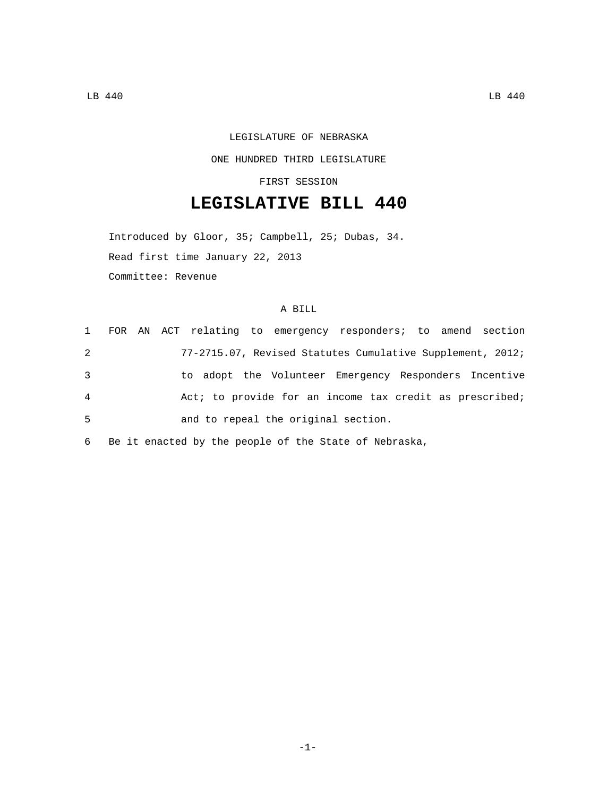## LEGISLATURE OF NEBRASKA

## ONE HUNDRED THIRD LEGISLATURE

FIRST SESSION

## **LEGISLATIVE BILL 440**

Introduced by Gloor, 35; Campbell, 25; Dubas, 34. Read first time January 22, 2013 Committee: Revenue

## A BILL

|   |  | 1 FOR AN ACT relating to emergency responders; to amend section |
|---|--|-----------------------------------------------------------------|
| 2 |  | 77-2715.07, Revised Statutes Cumulative Supplement, 2012;       |
| 3 |  | to adopt the Volunteer Emergency Responders Incentive           |
| 4 |  | Act; to provide for an income tax credit as prescribed;         |
| 5 |  | and to repeal the original section.                             |
|   |  |                                                                 |

6 Be it enacted by the people of the State of Nebraska,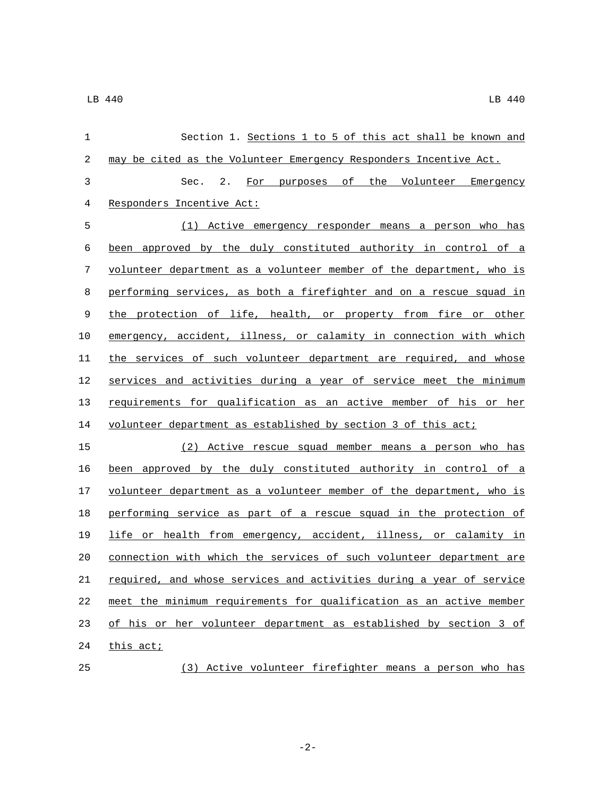| 1  | Section 1. Sections 1 to 5 of this act shall be known and            |
|----|----------------------------------------------------------------------|
| 2  | may be cited as the Volunteer Emergency Responders Incentive Act.    |
| 3  | Sec. 2.<br>For purposes of the Volunteer Emergency                   |
| 4  | Responders Incentive Act:                                            |
| 5  | (1) Active emergency responder means a person who has                |
| 6  | been approved by the duly constituted authority in control of a      |
| 7  | volunteer department as a volunteer member of the department, who is |
| 8  | performing services, as both a firefighter and on a rescue squad in  |
| 9  | the protection of life, health, or property from fire or other       |
| 10 | emergency, accident, illness, or calamity in connection with which   |
| 11 | the services of such volunteer department are required, and whose    |
| 12 | services and activities during a year of service meet the minimum    |
| 13 | requirements for qualification as an active member of his or her     |
| 14 | volunteer department as established by section 3 of this act;        |
| 15 | (2) Active rescue squad member means a person who has                |
| 16 | been approved by the duly constituted authority in control of a      |
| 17 | volunteer department as a volunteer member of the department, who is |
| 18 | performing service as part of a rescue squad in the protection of    |
| 19 | life or health from emergency, accident, illness, or calamity in     |
| 20 | connection with which the services of such volunteer department are  |
| 21 | required, and whose services and activities during a year of service |
| 22 | meet the minimum requirements for qualification as an active member  |
| 23 | of his or her volunteer department as established by section 3 of    |
| 24 | this act;                                                            |
| 25 | (3) Active volunteer firefighter means a person who has              |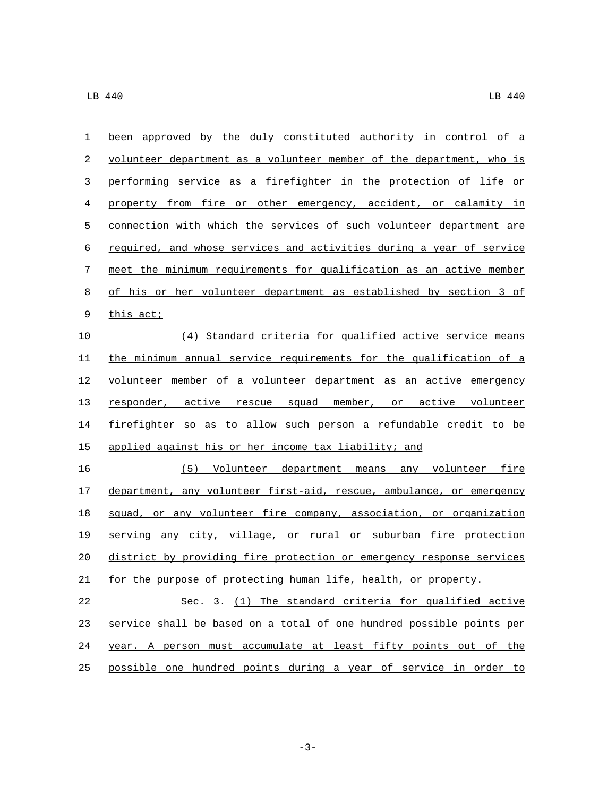| 1                | been approved by the duly constituted authority in control of a      |
|------------------|----------------------------------------------------------------------|
| 2                | volunteer department as a volunteer member of the department, who is |
| 3                | performing service as a firefighter in the protection of life or     |
| 4                | property from fire or other emergency, accident, or calamity in      |
| 5                | connection with which the services of such volunteer department are  |
| 6                | required, and whose services and activities during a year of service |
| $\boldsymbol{7}$ | meet the minimum requirements for qualification as an active member  |
| 8                | of his or her volunteer department as established by section 3 of    |
| 9                | this act;                                                            |
| 10               | (4) Standard criteria for qualified active service means             |
| 11               | the minimum annual service requirements for the qualification of a   |
| 12               | volunteer member of a volunteer department as an active emergency    |
| 13               | responder, active rescue squad member, or active volunteer           |
| 14               | firefighter so as to allow such person a refundable credit to be     |
| 15               | applied against his or her income tax liability; and                 |
| 16               | (5) Volunteer department means any volunteer fire                    |
| 17               | department, any volunteer first-aid, rescue, ambulance, or emergency |
| 18               | squad, or any volunteer fire company, association, or organization   |
| 19               | serving any city, village, or rural or suburban fire protection      |
| 20               | district by providing fire protection or emergency response services |
| 21               | for the purpose of protecting human life, health, or property.       |
| 22               | Sec. 3. (1) The standard criteria for qualified active               |
| 23               | service shall be based on a total of one hundred possible points per |
| 24               | year. A person must accumulate at least fifty points out of the      |
| 25               | possible one hundred points during a year of service in order to     |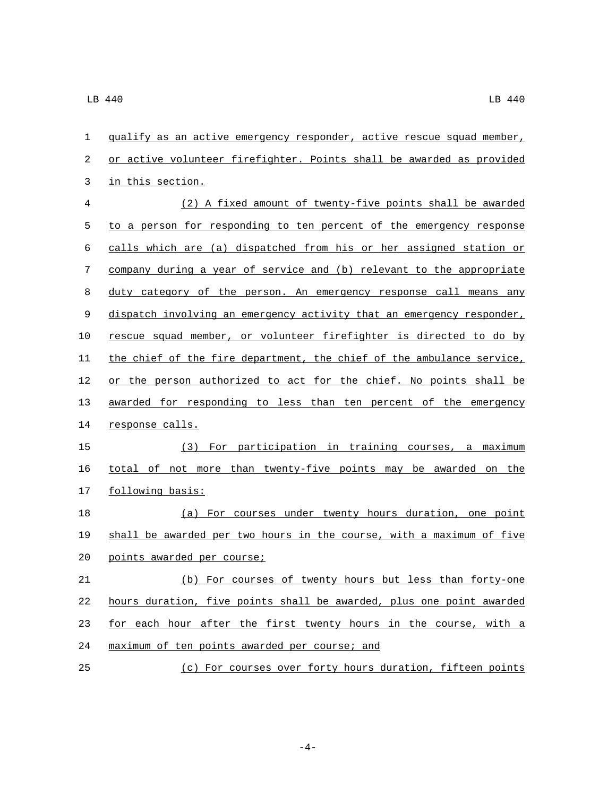| 1  | qualify as an active emergency responder, active rescue squad member, |
|----|-----------------------------------------------------------------------|
| 2  | or active volunteer firefighter. Points shall be awarded as provided  |
| 3  | in this section.                                                      |
| 4  | (2) A fixed amount of twenty-five points shall be awarded             |
| 5  | to a person for responding to ten percent of the emergency response   |
| 6  | calls which are (a) dispatched from his or her assigned station or    |
| 7  | company during a year of service and (b) relevant to the appropriate  |
| 8  | duty category of the person. An emergency response call means any     |
| 9  | dispatch involving an emergency activity that an emergency responder, |
| 10 | rescue squad member, or volunteer firefighter is directed to do by    |
| 11 | the chief of the fire department, the chief of the ambulance service, |
| 12 | or the person authorized to act for the chief. No points shall be     |
| 13 | awarded for responding to less than ten percent of the emergency      |
| 14 | response calls.                                                       |
| 15 | (3) For participation in training courses, a maximum                  |
| 16 | total of not more than twenty-five points may be awarded on the       |
| 17 | following basis:                                                      |
| 18 | (a) For courses under twenty hours duration, one point                |
| 19 | shall be awarded per two hours in the course, with a maximum of five  |
| 20 | points awarded per course;                                            |
| 21 | (b) For courses of twenty hours but less than forty-one               |
| 22 | hours duration, five points shall be awarded, plus one point awarded  |
| 23 | for each hour after the first twenty hours in the course, with a      |
| 24 | maximum of ten points awarded per course; and                         |
|    |                                                                       |

(c) For courses over forty hours duration, fifteen points

-4-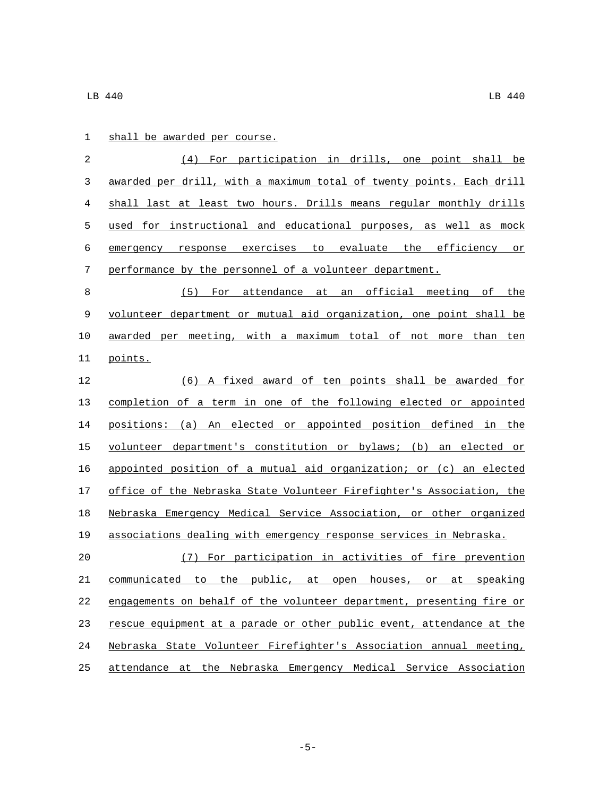| $\overline{2}$ | (4)<br>For participation in drills, one point shall be                |
|----------------|-----------------------------------------------------------------------|
| 3              | awarded per drill, with a maximum total of twenty points. Each drill  |
| 4              | shall last at least two hours. Drills means regular monthly drills    |
| 5              | used for instructional and educational purposes, as well as mock      |
| 6              | emergency response exercises to evaluate the efficiency or            |
| 7              | performance by the personnel of a volunteer department.               |
| 8              | For attendance at an official meeting of the<br>(5)                   |
| 9              | volunteer department or mutual aid organization, one point shall be   |
| 10             | awarded per meeting, with a maximum total of not more than ten        |
| 11             | points.                                                               |
| 12             | (6) A fixed award of ten points shall be awarded for                  |
| 13             | completion of a term in one of the following elected or appointed     |
| 14             | positions: (a) An elected or appointed position defined in the        |
| 15             | volunteer department's constitution or bylaws; (b) an elected or      |
| 16             | appointed position of a mutual aid organization; or (c) an elected    |
| 17             | office of the Nebraska State Volunteer Firefighter's Association, the |
| 18             | Nebraska Emergency Medical Service Association, or other organized    |
| 19             | associations dealing with emergency response services in Nebraska.    |
| 20             | (7) For participation in activities of fire prevention                |
| 21             | communicated to the public, at open houses, or at speaking            |
| 22             | engagements on behalf of the volunteer department, presenting fire or |
| 23             | rescue equipment at a parade or other public event, attendance at the |
| 24             | Nebraska State Volunteer Firefighter's Association annual meeting,    |
| 25             | attendance at the Nebraska Emergency Medical Service Association      |

1 shall be awarded per course.

-5-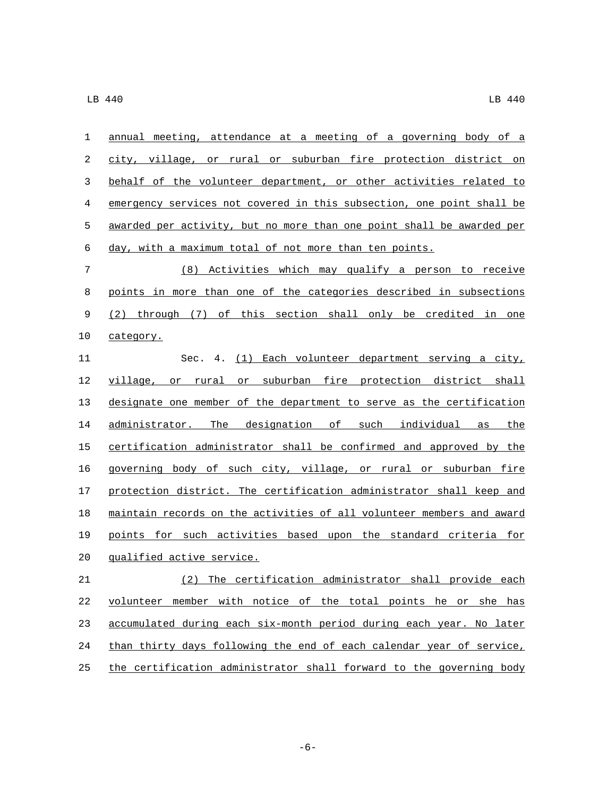| 1  | annual meeting, attendance at a meeting of a governing body of a      |
|----|-----------------------------------------------------------------------|
| 2  | city, village, or rural or suburban fire protection district on       |
| 3  | behalf of the volunteer department, or other activities related to    |
| 4  | emergency services not covered in this subsection, one point shall be |
| 5  | awarded per activity, but no more than one point shall be awarded per |
| 6  | day, with a maximum total of not more than ten points.                |
| 7  | (8) Activities which may qualify a person to receive                  |
| 8  | points in more than one of the categories described in subsections    |
| 9  | (2) through (7) of this section shall only be credited in one         |
| 10 | category.                                                             |
| 11 | Sec. 4. (1) Each volunteer department serving a city,                 |
| 12 | village, or rural or suburban fire protection district shall          |
| 13 | designate one member of the department to serve as the certification  |
| 14 | administrator. The designation of such individual as the              |
| 15 | certification administrator shall be confirmed and approved by the    |
| 16 | governing body of such city, village, or rural or suburban fire       |
| 17 | protection district. The certification administrator shall keep and   |
| 18 | maintain records on the activities of all volunteer members and award |
| 19 | points for such activities based upon the standard criteria for       |
| 20 | qualified active service.                                             |
| 21 | (2) The certification administrator shall provide each                |
| 22 | volunteer member with notice of the total points he or she has        |
| 23 | accumulated during each six-month period during each year. No later   |
| 24 | than thirty days following the end of each calendar year of service,  |
| 25 | the certification administrator shall forward to the governing body   |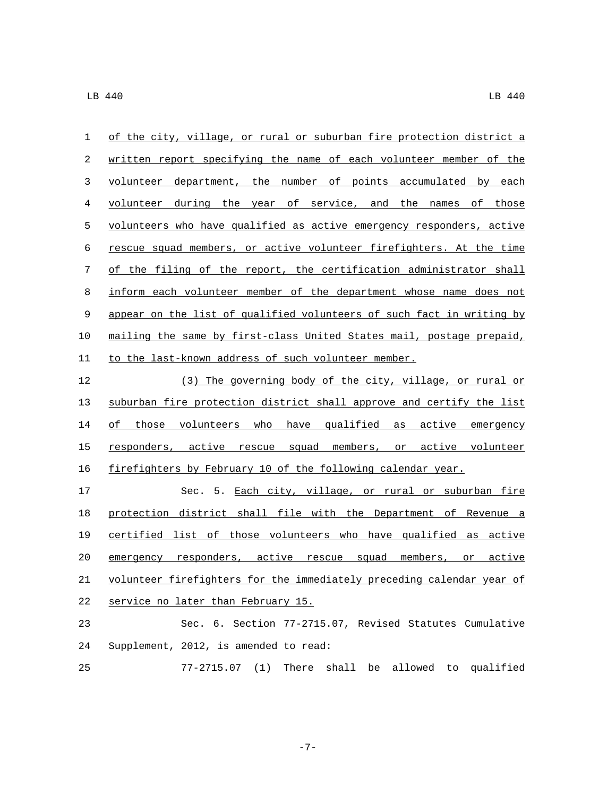| 1  | of the city, village, or rural or suburban fire protection district a       |
|----|-----------------------------------------------------------------------------|
| 2  | written report specifying the name of each volunteer member of the          |
| 3  | volunteer department, the number of points accumulated by each              |
| 4  | volunteer during the year of service, and the names of those                |
| 5  | volunteers who have qualified as active emergency responders, active        |
| 6  | rescue squad members, or active volunteer firefighters. At the time         |
| 7  | of the filing of the report, the certification administrator shall          |
| 8  | inform each volunteer member of the department whose name does not          |
| 9  | appear on the list of qualified volunteers of such fact in writing by       |
| 10 | mailing the same by first-class United States mail, postage prepaid,        |
| 11 | to the last-known address of such volunteer member.                         |
| 12 | (3) The governing body of the city, village, or rural or                    |
| 13 | suburban fire protection district shall approve and certify the list        |
| 14 | of those volunteers who have qualified as active emergency                  |
| 15 | responders, active rescue squad members, or active volunteer                |
| 16 | firefighters by February 10 of the following calendar year.                 |
| 17 | Sec. 5. Each city, village, or rural or suburban fire                       |
| 18 | protection district shall file with the Department of Revenue a             |
| 19 | certified list of those volunteers who have qualified as active             |
| 20 | emergency responders, active rescue squad<br>members, or<br>active          |
| 21 | volunteer firefighters for the immediately preceding calendar year of       |
| 22 | service no later than February 15.                                          |
| 23 | Sec. 6. Section 77-2715.07, Revised Statutes Cumulative                     |
| 24 | Supplement, 2012, is amended to read:                                       |
| 25 | $77 - 2715.07$<br>(1)<br>There<br>shall<br>allowed<br>qualified<br>be<br>to |

-7-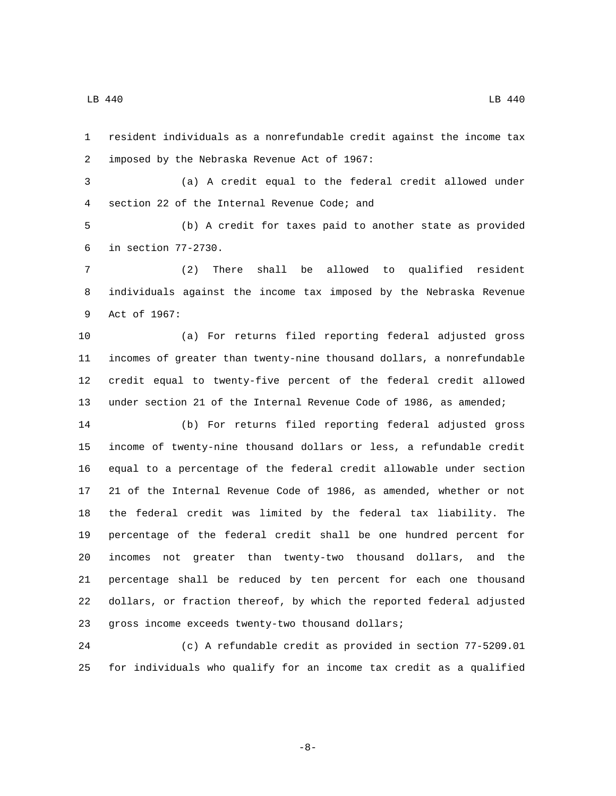resident individuals as a nonrefundable credit against the income tax 2 imposed by the Nebraska Revenue Act of 1967:

 (a) A credit equal to the federal credit allowed under 4 section 22 of the Internal Revenue Code; and

 (b) A credit for taxes paid to another state as provided in section 77-2730.6

 (2) There shall be allowed to qualified resident individuals against the income tax imposed by the Nebraska Revenue 9 Act of 1967:

 (a) For returns filed reporting federal adjusted gross incomes of greater than twenty-nine thousand dollars, a nonrefundable credit equal to twenty-five percent of the federal credit allowed under section 21 of the Internal Revenue Code of 1986, as amended;

 (b) For returns filed reporting federal adjusted gross income of twenty-nine thousand dollars or less, a refundable credit equal to a percentage of the federal credit allowable under section 21 of the Internal Revenue Code of 1986, as amended, whether or not the federal credit was limited by the federal tax liability. The percentage of the federal credit shall be one hundred percent for incomes not greater than twenty-two thousand dollars, and the percentage shall be reduced by ten percent for each one thousand dollars, or fraction thereof, by which the reported federal adjusted 23 gross income exceeds twenty-two thousand dollars;

 (c) A refundable credit as provided in section 77-5209.01 for individuals who qualify for an income tax credit as a qualified

-8-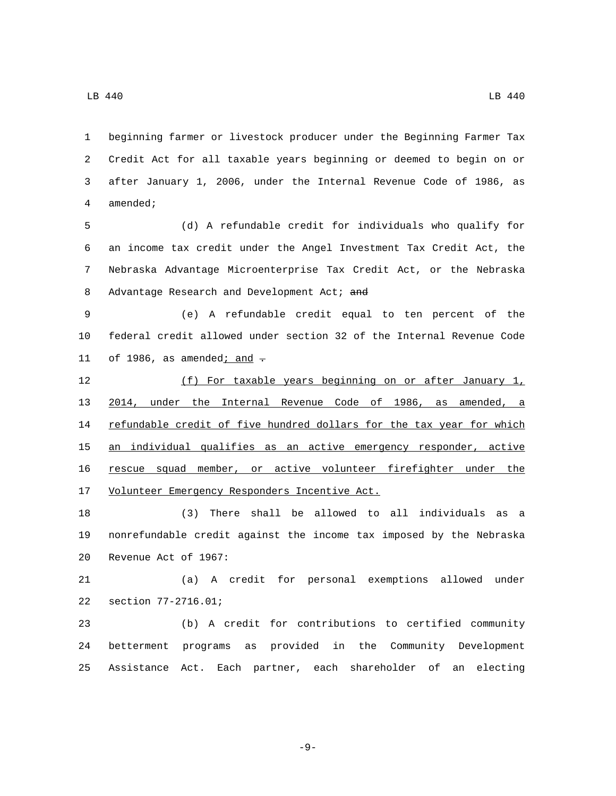beginning farmer or livestock producer under the Beginning Farmer Tax Credit Act for all taxable years beginning or deemed to begin on or after January 1, 2006, under the Internal Revenue Code of 1986, as 4 amended;

 (d) A refundable credit for individuals who qualify for an income tax credit under the Angel Investment Tax Credit Act, the Nebraska Advantage Microenterprise Tax Credit Act, or the Nebraska 8 Advantage Research and Development Act; and

 (e) A refundable credit equal to ten percent of the federal credit allowed under section 32 of the Internal Revenue Code 11 of 1986, as amended $\frac{i}{1}$  and  $\frac{1}{1}$ 

 (f) For taxable years beginning on or after January 1, 2014, under the Internal Revenue Code of 1986, as amended, a 14 refundable credit of five hundred dollars for the tax year for which 15 an individual qualifies as an active emergency responder, active rescue squad member, or active volunteer firefighter under the 17 Volunteer Emergency Responders Incentive Act.

 (3) There shall be allowed to all individuals as a nonrefundable credit against the income tax imposed by the Nebraska 20 Revenue Act of 1967:

 (a) A credit for personal exemptions allowed under 22 section 77-2716.01;

 (b) A credit for contributions to certified community betterment programs as provided in the Community Development Assistance Act. Each partner, each shareholder of an electing

-9-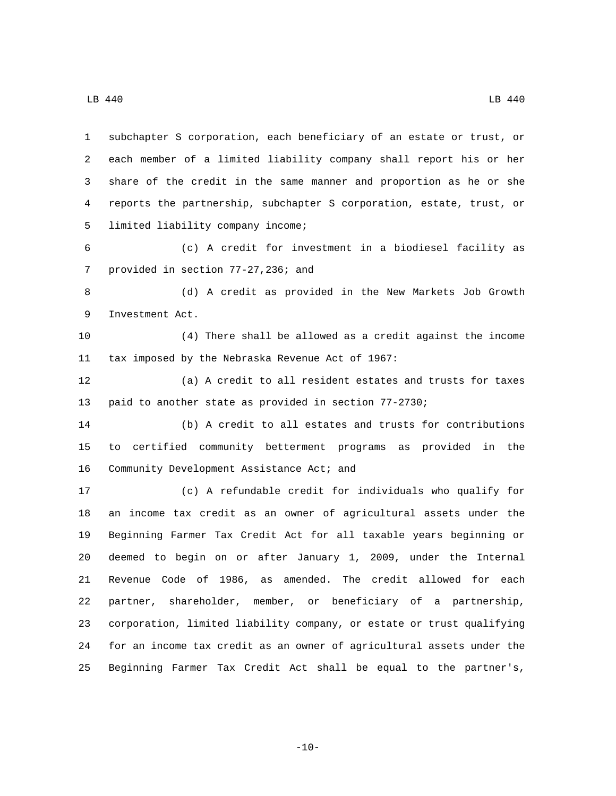LB 440 LB 440

 subchapter S corporation, each beneficiary of an estate or trust, or each member of a limited liability company shall report his or her share of the credit in the same manner and proportion as he or she reports the partnership, subchapter S corporation, estate, trust, or 5 limited liability company income; (c) A credit for investment in a biodiesel facility as 7 provided in section 77-27,236; and (d) A credit as provided in the New Markets Job Growth 9 Investment Act. (4) There shall be allowed as a credit against the income 11 tax imposed by the Nebraska Revenue Act of 1967: (a) A credit to all resident estates and trusts for taxes paid to another state as provided in section 77-2730; (b) A credit to all estates and trusts for contributions to certified community betterment programs as provided in the 16 Community Development Assistance Act; and (c) A refundable credit for individuals who qualify for an income tax credit as an owner of agricultural assets under the Beginning Farmer Tax Credit Act for all taxable years beginning or deemed to begin on or after January 1, 2009, under the Internal Revenue Code of 1986, as amended. The credit allowed for each partner, shareholder, member, or beneficiary of a partnership, corporation, limited liability company, or estate or trust qualifying

 $-10-$ 

for an income tax credit as an owner of agricultural assets under the

Beginning Farmer Tax Credit Act shall be equal to the partner's,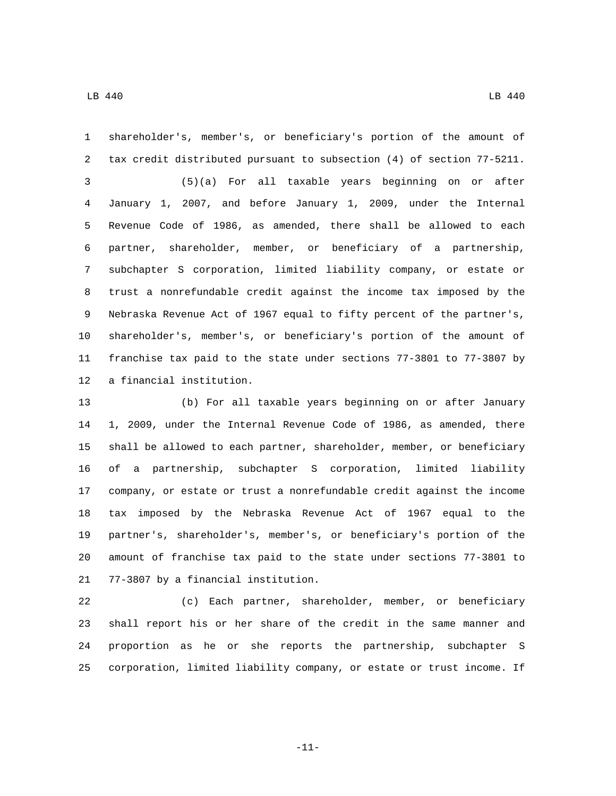shareholder's, member's, or beneficiary's portion of the amount of

 tax credit distributed pursuant to subsection (4) of section 77-5211. (5)(a) For all taxable years beginning on or after January 1, 2007, and before January 1, 2009, under the Internal Revenue Code of 1986, as amended, there shall be allowed to each partner, shareholder, member, or beneficiary of a partnership, subchapter S corporation, limited liability company, or estate or trust a nonrefundable credit against the income tax imposed by the Nebraska Revenue Act of 1967 equal to fifty percent of the partner's, shareholder's, member's, or beneficiary's portion of the amount of franchise tax paid to the state under sections 77-3801 to 77-3807 by 12 a financial institution.

 (b) For all taxable years beginning on or after January 1, 2009, under the Internal Revenue Code of 1986, as amended, there shall be allowed to each partner, shareholder, member, or beneficiary of a partnership, subchapter S corporation, limited liability company, or estate or trust a nonrefundable credit against the income tax imposed by the Nebraska Revenue Act of 1967 equal to the partner's, shareholder's, member's, or beneficiary's portion of the amount of franchise tax paid to the state under sections 77-3801 to 21 77-3807 by a financial institution.

 (c) Each partner, shareholder, member, or beneficiary shall report his or her share of the credit in the same manner and proportion as he or she reports the partnership, subchapter S corporation, limited liability company, or estate or trust income. If

-11-